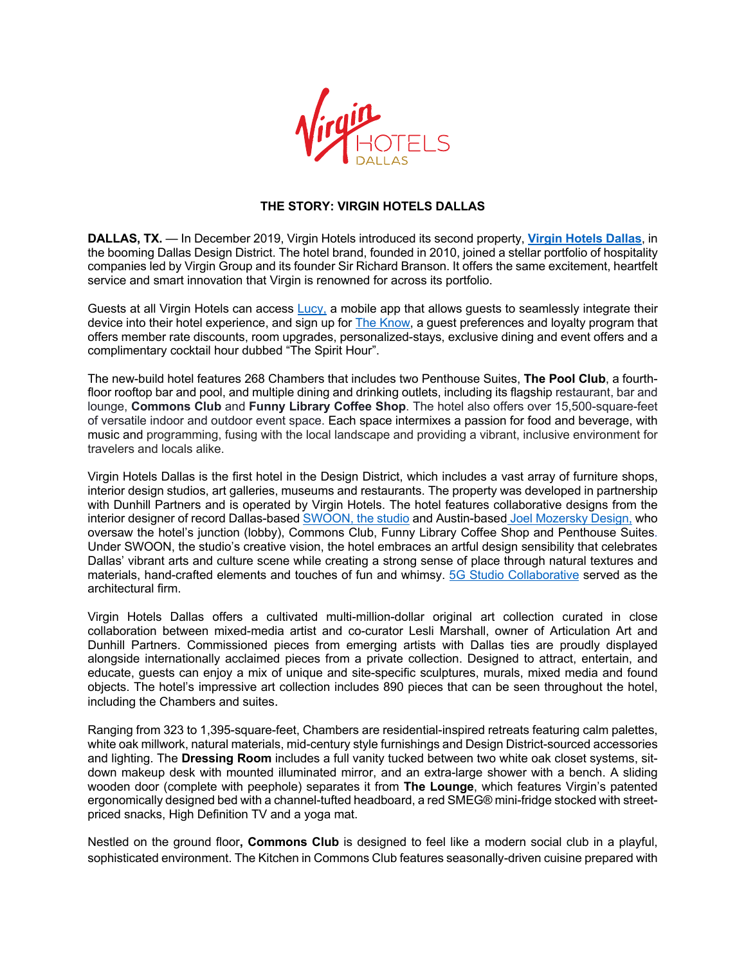

## **THE STORY: VIRGIN HOTELS DALLAS**

**DALLAS, TX.** — In December 2019, Virgin Hotels introduced its second property, **Virgin Hotels Dallas**, in the booming Dallas Design District. The hotel brand, founded in 2010, joined a stellar portfolio of hospitality companies led by Virgin Group and its founder Sir Richard Branson. It offers the same excitement, heartfelt service and smart innovation that Virgin is renowned for across its portfolio.

Guests at all Virgin Hotels can access Lucy, a mobile app that allows quests to seamlessly integrate their device into their hotel experience, and sign up for The Know, a guest preferences and loyalty program that offers member rate discounts, room upgrades, personalized-stays, exclusive dining and event offers and a complimentary cocktail hour dubbed "The Spirit Hour".

The new-build hotel features 268 Chambers that includes two Penthouse Suites, **The Pool Club**, a fourthfloor rooftop bar and pool, and multiple dining and drinking outlets, including its flagship restaurant, bar and lounge, **Commons Club** and **Funny Library Coffee Shop**. The hotel also offers over 15,500-square-feet of versatile indoor and outdoor event space. Each space intermixes a passion for food and beverage, with music and programming, fusing with the local landscape and providing a vibrant, inclusive environment for travelers and locals alike.

Virgin Hotels Dallas is the first hotel in the Design District, which includes a vast array of furniture shops, interior design studios, art galleries, museums and restaurants. The property was developed in partnership with Dunhill Partners and is operated by Virgin Hotels. The hotel features collaborative designs from the interior designer of record Dallas-based SWOON, the studio and Austin-based Joel Mozersky Design, who oversaw the hotel's junction (lobby), Commons Club, Funny Library Coffee Shop and Penthouse Suites. Under SWOON, the studio's creative vision, the hotel embraces an artful design sensibility that celebrates Dallas' vibrant arts and culture scene while creating a strong sense of place through natural textures and materials, hand-crafted elements and touches of fun and whimsy. 5G Studio Collaborative served as the architectural firm.

Virgin Hotels Dallas offers a cultivated multi-million-dollar original art collection curated in close collaboration between mixed-media artist and co-curator Lesli Marshall, owner of Articulation Art and Dunhill Partners. Commissioned pieces from emerging artists with Dallas ties are proudly displayed alongside internationally acclaimed pieces from a private collection. Designed to attract, entertain, and educate, guests can enjoy a mix of unique and site-specific sculptures, murals, mixed media and found objects. The hotel's impressive art collection includes 890 pieces that can be seen throughout the hotel, including the Chambers and suites.

Ranging from 323 to 1,395-square-feet, Chambers are residential-inspired retreats featuring calm palettes, white oak millwork, natural materials, mid-century style furnishings and Design District-sourced accessories and lighting. The **Dressing Room** includes a full vanity tucked between two white oak closet systems, sitdown makeup desk with mounted illuminated mirror, and an extra-large shower with a bench. A sliding wooden door (complete with peephole) separates it from **The Lounge**, which features Virgin's patented ergonomically designed bed with a channel-tufted headboard, a red SMEG® mini-fridge stocked with streetpriced snacks, High Definition TV and a yoga mat.

Nestled on the ground floor**, Commons Club** is designed to feel like a modern social club in a playful, sophisticated environment. The Kitchen in Commons Club features seasonally-driven cuisine prepared with